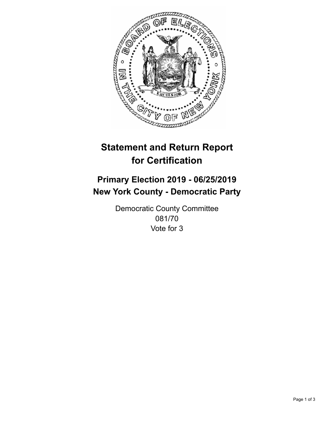

## **Statement and Return Report for Certification**

## **Primary Election 2019 - 06/25/2019 New York County - Democratic Party**

Democratic County Committee 081/70 Vote for 3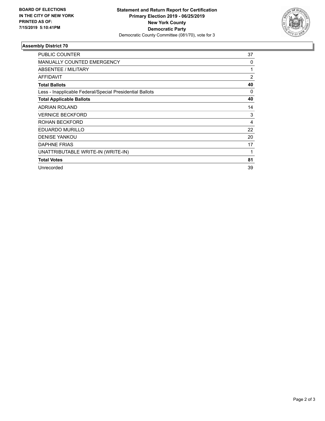

## **Assembly District 70**

| <b>PUBLIC COUNTER</b>                                    | 37 |
|----------------------------------------------------------|----|
| <b>MANUALLY COUNTED EMERGENCY</b>                        | 0  |
| ABSENTEE / MILITARY                                      | 1  |
| <b>AFFIDAVIT</b>                                         | 2  |
| <b>Total Ballots</b>                                     | 40 |
| Less - Inapplicable Federal/Special Presidential Ballots | 0  |
| <b>Total Applicable Ballots</b>                          | 40 |
| <b>ADRIAN ROLAND</b>                                     | 14 |
| <b>VERNICE BECKFORD</b>                                  | 3  |
| ROHAN BECKFORD                                           | 4  |
| <b>EDUARDO MURILLO</b>                                   | 22 |
| <b>DENISE YANKOU</b>                                     | 20 |
| <b>DAPHNE FRIAS</b>                                      | 17 |
| UNATTRIBUTABLE WRITE-IN (WRITE-IN)                       | 1  |
| <b>Total Votes</b>                                       | 81 |
| Unrecorded                                               | 39 |